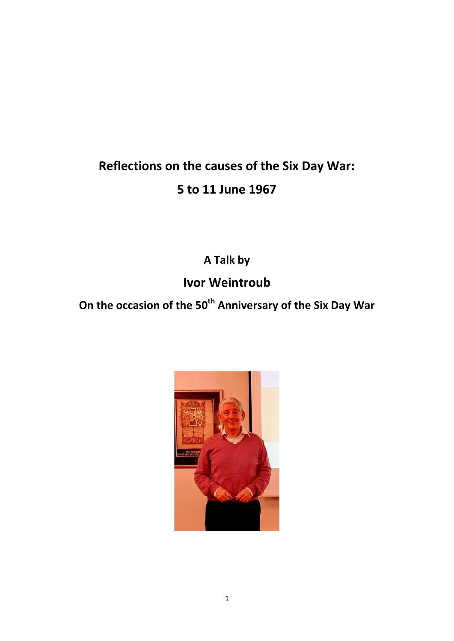## **Reflections on the causes of the Six Day War: 5 to 11 June 1967**

**A Talk by**

## **Ivor Weintroub**

**On the occasion of the 50th Anniversary of the Six Day War**

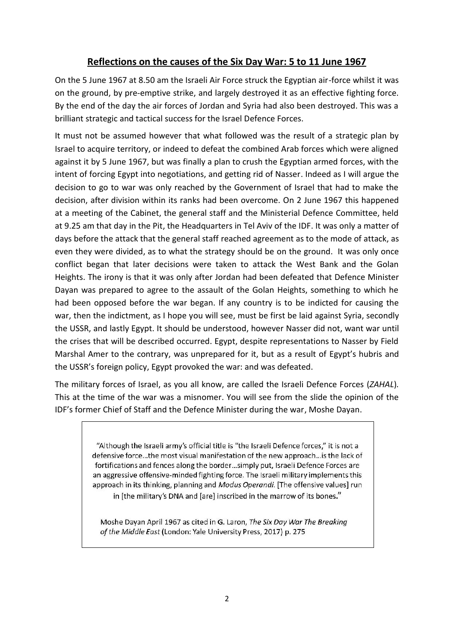## **Reflections on the causes of the Six Day War: 5 to 11 June 1967**

On the 5 June 1967 at 8.50 am the Israeli Air Force struck the Egyptian air-force whilst it was on the ground, by pre-emptive strike, and largely destroyed it as an effective fighting force. By the end of the day the air forces of Jordan and Syria had also been destroyed. This was a brilliant strategic and tactical success for the Israel Defence Forces.

It must not be assumed however that what followed was the result of a strategic plan by Israel to acquire territory, or indeed to defeat the combined Arab forces which were aligned against it by 5 June 1967, but was finally a plan to crush the Egyptian armed forces, with the intent of forcing Egypt into negotiations, and getting rid of Nasser. Indeed as I will argue the decision to go to war was only reached by the Government of Israel that had to make the decision, after division within its ranks had been overcome. On 2 June 1967 this happened at a meeting of the Cabinet, the general staff and the Ministerial Defence Committee, held at 9.25 am that day in the Pit, the Headquarters in Tel Aviv of the IDF. It was only a matter of days before the attack that the general staff reached agreement as to the mode of attack, as even they were divided, as to what the strategy should be on the ground. It was only once conflict began that later decisions were taken to attack the West Bank and the Golan Heights. The irony is that it was only after Jordan had been defeated that Defence Minister Dayan was prepared to agree to the assault of the Golan Heights, something to which he had been opposed before the war began. If any country is to be indicted for causing the war, then the indictment, as I hope you will see, must be first be laid against Syria, secondly the USSR, and lastly Egypt. It should be understood, however Nasser did not, want war until the crises that will be described occurred. Egypt, despite representations to Nasser by Field Marshal Amer to the contrary, was unprepared for it, but as a result of Egypt's hubris and the USSR's foreign policy, Egypt provoked the war: and was defeated.

The military forces of Israel, as you all know, are called the Israeli Defence Forces (*ZAHAL*)*.* This at the time of the war was a misnomer. You will see from the slide the opinion of the IDF's former Chief of Staff and the Defence Minister during the war, Moshe Dayan.

> "Although the Israeli army's official title is "the Israeli Defence forces," it is not a defensive force...the most visual manifestation of the new approach...is the lack of fortifications and fences along the border...simply put, Israeli Defence Forces are an aggressive offensive-minded fighting force. The Israeli military implements this approach in its thinking, planning and Modus Operandi. [The offensive values] run in [the military's DNA and [are] inscribed in the marrow of its bones."

Moshe Dayan April 1967 as cited in G. Laron, The Six Day War The Breaking of the Middle East (London: Yale University Press, 2017) p. 275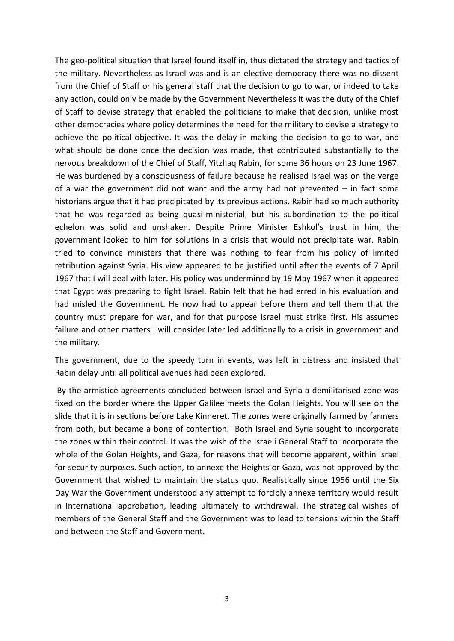The geo-political situation that Israel found itself in, thus dictated the strategy and tactics of the military. Nevertheless as Israel was and is an elective democracy there was no dissent from the Chief of Staff or his general staff that the decision to go to war, or indeed to take any action, could only be made by the Government Nevertheless it was the duty of the Chief of Staff to devise strategy that enabled the politicians to make that decision, unlike most other democracies where policy determines the need for the military to devise a strategy to achieve the political objective. It was the delay in making the decision to go to war, and what should be done once the decision was made, that contributed substantially to the nervous breakdown of the Chief of Staff, Yitzhaq Rabin, for some 36 hours on 23 June 1967. He was burdened by a consciousness of failure because he realised Israel was on the verge of a war the government did not want and the army had not prevented – in fact some historians argue that it had precipitated by its previous actions. Rabin had so much authority that he was regarded as being quasi-ministerial, but his subordination to the political echelon was solid and unshaken. Despite Prime Minister Eshkol's trust in him, the government looked to him for solutions in a crisis that would not precipitate war. Rabin tried to convince ministers that there was nothing to fear from his policy of limited retribution against Syria. His view appeared to be justified until after the events of 7 April 1967 that I will deal with later. His policy was undermined by 19 May 1967 when it appeared that Egypt was preparing to fight Israel. Rabin felt that he had erred in his evaluation and had misled the Government. He now had to appear before them and tell them that the country must prepare for war, and for that purpose Israel must strike first. His assumed failure and other matters I will consider later led additionally to a crisis in government and the military.

The government, due to the speedy turn in events, was left in distress and insisted that Rabin delay until all political avenues had been explored.

By the armistice agreements concluded between Israel and Syria a demilitarised zone was fixed on the border where the Upper Galilee meets the Golan Heights. You will see on the slide that it is in sections before Lake Kinneret. The zones were originally farmed by farmers from both, but became a bone of contention. Both Israel and Syria sought to incorporate the zones within their control. It was the wish of the Israeli General Staff to incorporate the whole of the Golan Heights, and Gaza, for reasons that will become apparent, within Israel for security purposes. Such action, to annexe the Heights or Gaza, was not approved by the Government that wished to maintain the status quo. Realistically since 1956 until the Six Day War the Government understood any attempt to forcibly annexe territory would result in International approbation, leading ultimately to withdrawal. The strategical wishes of members of the General Staff and the Government was to lead to tensions within the Staff and between the Staff and Government.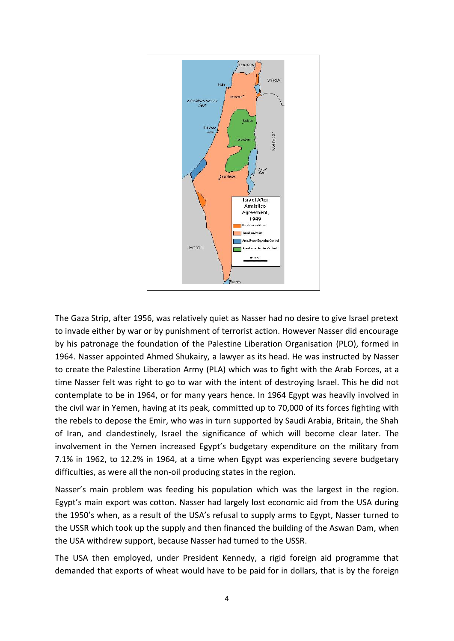

The Gaza Strip, after 1956, was relatively quiet as Nasser had no desire to give Israel pretext to invade either by war or by punishment of terrorist action. However Nasser did encourage by his patronage the foundation of the Palestine Liberation Organisation (PLO), formed in 1964. Nasser appointed Ahmed Shukairy, a lawyer as its head. He was instructed by Nasser to create the Palestine Liberation Army (PLA) which was to fight with the Arab Forces, at a time Nasser felt was right to go to war with the intent of destroying Israel. This he did not contemplate to be in 1964, or for many years hence. In 1964 Egypt was heavily involved in the civil war in Yemen, having at its peak, committed up to 70,000 of its forces fighting with the rebels to depose the Emir, who was in turn supported by Saudi Arabia, Britain, the Shah of Iran, and clandestinely, Israel the significance of which will become clear later. The involvement in the Yemen increased Egypt's budgetary expenditure on the military from 7.1% in 1962, to 12.2% in 1964, at a time when Egypt was experiencing severe budgetary difficulties, as were all the non-oil producing states in the region.

Nasser's main problem was feeding his population which was the largest in the region. Egypt's main export was cotton. Nasser had largely lost economic aid from the USA during the 1950's when, as a result of the USA's refusal to supply arms to Egypt, Nasser turned to the USSR which took up the supply and then financed the building of the Aswan Dam, when the USA withdrew support, because Nasser had turned to the USSR.

The USA then employed, under President Kennedy, a rigid foreign aid programme that demanded that exports of wheat would have to be paid for in dollars, that is by the foreign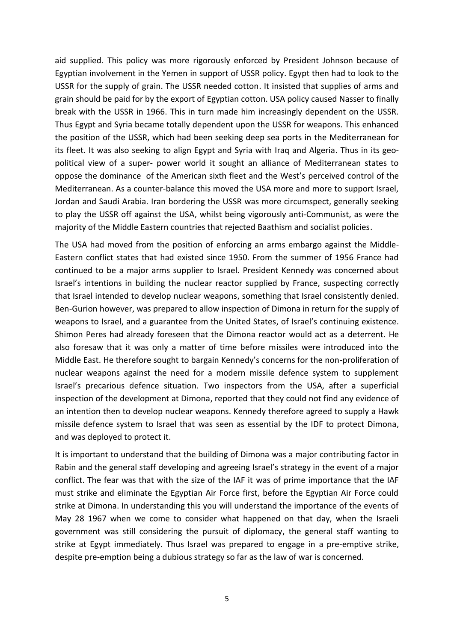aid supplied. This policy was more rigorously enforced by President Johnson because of Egyptian involvement in the Yemen in support of USSR policy. Egypt then had to look to the USSR for the supply of grain. The USSR needed cotton. It insisted that supplies of arms and grain should be paid for by the export of Egyptian cotton. USA policy caused Nasser to finally break with the USSR in 1966. This in turn made him increasingly dependent on the USSR. Thus Egypt and Syria became totally dependent upon the USSR for weapons. This enhanced the position of the USSR, which had been seeking deep sea ports in the Mediterranean for its fleet. It was also seeking to align Egypt and Syria with Iraq and Algeria. Thus in its geo political view of a super- power world it sought an alliance of Mediterranean states to oppose the dominance of the American sixth fleet and the West's perceived control of the Mediterranean. As a counter-balance this moved the USA more and more to support Israel, Jordan and Saudi Arabia. Iran bordering the USSR was more circumspect, generally seeking to play the USSR off against the USA, whilst being vigorously anti-Communist, as were the majority of the Middle Eastern countries that rejected Baathism and socialist policies.

The USA had moved from the position of enforcing an arms embargo against the Middle- Eastern conflict states that had existed since 1950. From the summer of 1956 France had continued to be a major arms supplier to Israel. President Kennedy was concerned about Israel's intentions in building the nuclear reactor supplied by France, suspecting correctly that Israel intended to develop nuclear weapons, something that Israel consistently denied. Ben-Gurion however, was prepared to allow inspection of Dimona in return for the supply of weapons to Israel, and a guarantee from the United States, of Israel's continuing existence. Shimon Peres had already foreseen that the Dimona reactor would act as a deterrent. He also foresaw that it was only a matter of time before missiles were introduced into the Middle East. He therefore sought to bargain Kennedy's concerns for the non-proliferation of nuclear weapons against the need for a modern missile defence system to supplement Israel's precarious defence situation. Two inspectors from the USA, after a superficial inspection of the development at Dimona, reported that they could not find any evidence of an intention then to develop nuclear weapons. Kennedy therefore agreed to supply a Hawk missile defence system to Israel that was seen as essential by the IDF to protect Dimona, and was deployed to protect it.

It is important to understand that the building of Dimona was a major contributing factor in Rabin and the general staff developing and agreeing Israel's strategy in the event of a major conflict. The fear was that with the size of the IAF it was of prime importance that the IAF must strike and eliminate the Egyptian Air Force first, before the Egyptian Air Force could strike at Dimona. In understanding this you will understand the importance of the events of May 28 1967 when we come to consider what happened on that day, when the Israeli government was still considering the pursuit of diplomacy, the general staff wanting to strike at Egypt immediately. Thus Israel was prepared to engage in a pre-emptive strike, despite pre-emption being a dubious strategy so far as the law of war is concerned.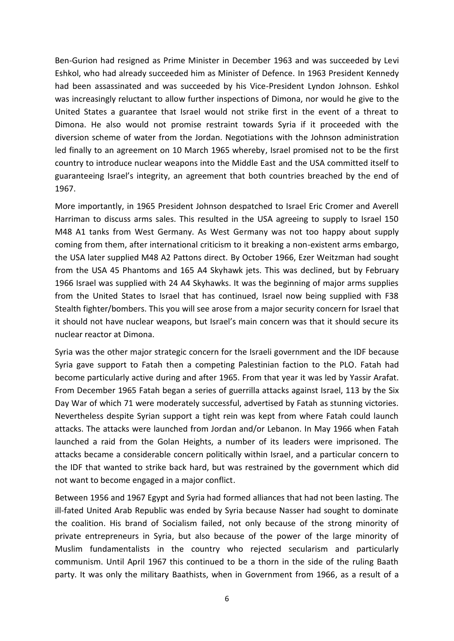Ben-Gurion had resigned as Prime Minister in December 1963 and was succeeded by Levi Eshkol, who had already succeeded him as Minister of Defence. In 1963 President Kennedy had been assassinated and was succeeded by his Vice-President Lyndon Johnson. Eshkol was increasingly reluctant to allow further inspections of Dimona, nor would he give to the United States a guarantee that Israel would not strike first in the event of a threat to Dimona. He also would not promise restraint towards Syria if it proceeded with the diversion scheme of water from the Jordan. Negotiations with the Johnson administration led finally to an agreement on 10 March 1965 whereby, Israel promised not to be the first country to introduce nuclear weapons into the Middle East and the USA committed itself to guaranteeing Israel's integrity, an agreement that both countries breached by the end of 1967.

More importantly, in 1965 President Johnson despatched to Israel Eric Cromer and Averell Harriman to discuss arms sales. This resulted in the USA agreeing to supply to Israel 150 M48 A1 tanks from West Germany. As West Germany was not too happy about supply coming from them, after international criticism to it breaking a non-existent arms embargo, the USA later supplied M48 A2 Pattons direct. By October 1966, Ezer Weitzman had sought from the USA 45 Phantoms and 165 A4 Skyhawk jets. This was declined, but by February 1966 Israel was supplied with 24 A4 Skyhawks. It was the beginning of major arms supplies from the United States to Israel that has continued, Israel now being supplied with F38 Stealth fighter/bombers. This you will see arose from a major security concern for Israel that it should not have nuclear weapons, but Israel's main concern was that it should secure its nuclear reactor at Dimona.

Syria was the other major strategic concern for the Israeli government and the IDF because Syria gave support to Fatah then a competing Palestinian faction to the PLO. Fatah had become particularly active during and after 1965. From that year it was led by Yassir Arafat. From December 1965 Fatah began a series of guerrilla attacks against Israel, 113 by the Six Day War of which 71 were moderately successful, advertised by Fatah as stunning victories. Nevertheless despite Syrian support a tight rein was kept from where Fatah could launch attacks. The attacks were launched from Jordan and/or Lebanon. In May 1966 when Fatah launched a raid from the Golan Heights, a number of its leaders were imprisoned. The attacks became a considerable concern politically within Israel, and a particular concern to the IDF that wanted to strike back hard, but was restrained by the government which did not want to become engaged in a major conflict.

Between 1956 and 1967 Egypt and Syria had formed alliances that had not been lasting. The ill-fated United Arab Republic was ended by Syria because Nasser had sought to dominate the coalition. His brand of Socialism failed, not only because of the strong minority of private entrepreneurs in Syria, but also because of the power of the large minority of Muslim fundamentalists in the country who rejected secularism and particularly communism. Until April 1967 this continued to be a thorn in the side of the ruling Baath party. It was only the military Baathists, when in Government from 1966, as a result of a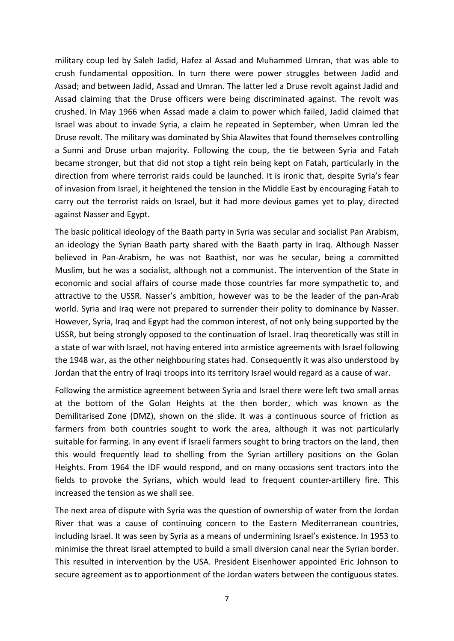military coup led by Saleh Jadid, Hafez al Assad and Muhammed Umran, that was able to crush fundamental opposition. In turn there were power struggles between Jadid and Assad; and between Jadid, Assad and Umran. The latter led a Druse revolt against Jadid and Assad claiming that the Druse officers were being discriminated against. The revolt was crushed. In May 1966 when Assad made a claim to power which failed, Jadid claimed that Israel was about to invade Syria, a claim he repeated in September, when Umran led the Druse revolt. The military was dominated by Shia Alawites that found themselves controlling a Sunni and Druse urban majority. Following the coup, the tie between Syria and Fatah became stronger, but that did not stop a tight rein being kept on Fatah, particularly in the direction from where terrorist raids could be launched. It is ironic that, despite Syria's fear of invasion from Israel, it heightened the tension in the Middle East by encouraging Fatah to carry out the terrorist raids on Israel, but it had more devious games yet to play, directed against Nasser and Egypt.

The basic political ideology of the Baath party in Syria was secular and socialist Pan Arabism, an ideology the Syrian Baath party shared with the Baath party in Iraq. Although Nasser believed in Pan-Arabism, he was not Baathist, nor was he secular, being a committed Muslim, but he was a socialist, although not a communist. The intervention of the State in economic and social affairs of course made those countries far more sympathetic to, and attractive to the USSR. Nasser's ambition, however was to be the leader of the pan-Arab world. Syria and Iraq were not prepared to surrender their polity to dominance by Nasser. However, Syria, Iraq and Egypt had the common interest, of not only being supported by the USSR, but being strongly opposed to the continuation of Israel. Iraq theoretically was still in a state of war with Israel, not having entered into armistice agreements with Israel following the 1948 war, as the other neighbouring states had. Consequently it was also understood by Jordan that the entry of Iraqi troops into its territory Israel would regard as a cause of war.

Following the armistice agreement between Syria and Israel there were left two small areas at the bottom of the Golan Heights at the then border, which was known as the Demilitarised Zone (DMZ), shown on the slide. It was a continuous source of friction as farmers from both countries sought to work the area, although it was not particularly suitable for farming. In any event if Israeli farmers sought to bring tractors on the land, then this would frequently lead to shelling from the Syrian artillery positions on the Golan Heights. From 1964 the IDF would respond, and on many occasions sent tractors into the fields to provoke the Syrians, which would lead to frequent counter-artillery fire. This increased the tension as we shall see.

The next area of dispute with Syria was the question of ownership of water from the Jordan River that was a cause of continuing concern to the Eastern Mediterranean countries, including Israel. It was seen by Syria as a means of undermining Israel's existence. In 1953 to minimise the threat Israel attempted to build a small diversion canal near the Syrian border. This resulted in intervention by the USA. President Eisenhower appointed Eric Johnson to secure agreement as to apportionment of the Jordan waters between the contiguous states.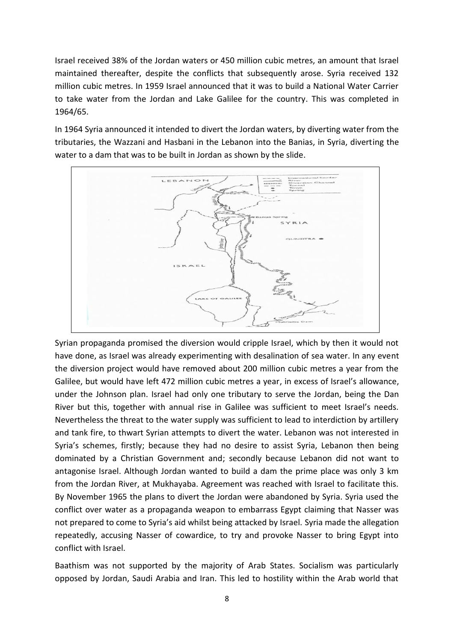Israel received 38% of the Jordan waters or 450 million cubic metres, an amount that Israel maintained thereafter, despite the conflicts that subsequently arose. Syria received 132 million cubic metres. In 1959 Israel announced that it was to build a National Water Carrier to take water from the Jordan and Lake Galilee for the country. This was completed in 1964/65.

In 1964 Syria announced it intended to divert the Jordan waters, by diverting water from the tributaries, the Wazzani and Hasbani in the Lebanon into the Banias, in Syria, diverting the water to a dam that was to be built in Jordan as shown by the slide.



Syrian propaganda promised the diversion would cripple Israel, which by then it would not have done, as Israel was already experimenting with desalination of sea water. In any event the diversion project would have removed about 200 million cubic metres a year from the Galilee, but would have left 472 million cubic metres a year, in excess of Israel's allowance, under the Johnson plan. Israel had only one tributary to serve the Jordan, being the Dan River but this, together with annual rise in Galilee was sufficient to meet Israel's needs. Nevertheless the threat to the water supply was sufficient to lead to interdiction by artillery and tank fire, to thwart Syrian attempts to divert the water. Lebanon was not interested in Syria's schemes, firstly; because they had no desire to assist Syria, Lebanon then being dominated by a Christian Government and; secondly because Lebanon did not want to antagonise Israel. Although Jordan wanted to build a dam the prime place was only 3 km from the Jordan River, at Mukhayaba. Agreement was reached with Israel to facilitate this. By November 1965 the plans to divert the Jordan were abandoned by Syria. Syria used the conflict over water as a propaganda weapon to embarrass Egypt claiming that Nasser was not prepared to come to Syria's aid whilst being attacked by Israel. Syria made the allegation repeatedly, accusing Nasser of cowardice, to try and provoke Nasser to bring Egypt into conflict with Israel.

Baathism was not supported by the majority of Arab States. Socialism was particularly opposed by Jordan, Saudi Arabia and Iran. This led to hostility within the Arab world that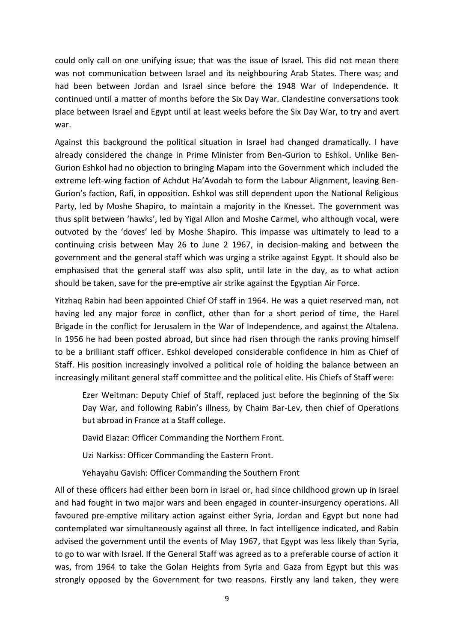could only call on one unifying issue; that was the issue of Israel. This did not mean there was not communication between Israel and its neighbouring Arab States. There was; and had been between Jordan and Israel since before the 1948 War of Independence. It continued until a matter of months before the Six Day War. Clandestine conversations took place between Israel and Egypt until at least weeks before the Six Day War, to try and avert war.

Against this background the political situation in Israel had changed dramatically. I have already considered the change in Prime Minister from Ben-Gurion to Eshkol. Unlike Ben- Gurion Eshkol had no objection to bringing Mapam into the Government which included the extreme left-wing faction of Achdut Ha'Avodah to form the Labour Alignment, leaving Ben- Gurion's faction, Rafi, in opposition. Eshkol was still dependent upon the National Religious Party, led by Moshe Shapiro, to maintain a majority in the Knesset. The government was thus split between 'hawks', led by Yigal Allon and Moshe Carmel, who although vocal, were outvoted by the 'doves' led by Moshe Shapiro. This impasse was ultimately to lead to a continuing crisis between May 26 to June 2 1967, in decision-making and between the government and the general staff which was urging a strike against Egypt. It should also be emphasised that the general staff was also split, until late in the day, as to what action should be taken, save for the pre-emptive air strike against the Egyptian Air Force.

Yitzhaq Rabin had been appointed Chief Of staff in 1964. He was a quiet reserved man, not having led any major force in conflict, other than for a short period of time, the Harel Brigade in the conflict for Jerusalem in the War of Independence, and against the Altalena. In 1956 he had been posted abroad, but since had risen through the ranks proving himself to be a brilliant staff officer. Eshkol developed considerable confidence in him as Chief of Staff. His position increasingly involved a political role of holding the balance between an increasingly militant general staff committee and the political elite. His Chiefs of Staff were:

Ezer Weitman: Deputy Chief of Staff, replaced just before the beginning of the Six Day War, and following Rabin's illness, by Chaim Bar-Lev, then chief of Operations but abroad in France at a Staff college.

David Elazar: Officer Commanding the Northern Front.

Uzi Narkiss: Officer Commanding the Eastern Front.

Yehayahu Gavish: Officer Commanding the Southern Front

All of these officers had either been born in Israel or, had since childhood grown up in Israel and had fought in two major wars and been engaged in counter-insurgency operations. All favoured pre-emptive military action against either Syria, Jordan and Egypt but none had contemplated war simultaneously against all three. In fact intelligence indicated, and Rabin advised the government until the events of May 1967, that Egypt was less likely than Syria, to go to war with Israel. If the General Staff was agreed as to a preferable course of action it was, from 1964 to take the Golan Heights from Syria and Gaza from Egypt but this was strongly opposed by the Government for two reasons. Firstly any land taken, they were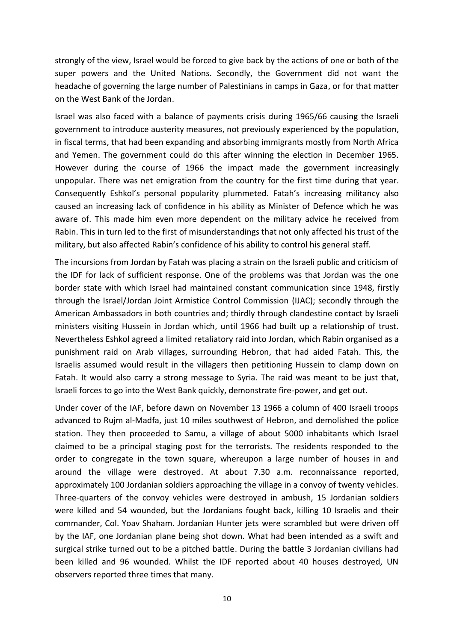strongly of the view, Israel would be forced to give back by the actions of one or both of the super powers and the United Nations. Secondly, the Government did not want the headache of governing the large number of Palestinians in camps in Gaza, or for that matter on the West Bank of the Jordan.

Israel was also faced with a balance of payments crisis during 1965/66 causing the Israeli government to introduce austerity measures, not previously experienced by the population, in fiscal terms, that had been expanding and absorbing immigrants mostly from North Africa and Yemen. The government could do this after winning the election in December 1965. However during the course of 1966 the impact made the government increasingly unpopular. There was net emigration from the country for the first time during that year. Consequently Eshkol's personal popularity plummeted. Fatah's increasing militancy also caused an increasing lack of confidence in his ability as Minister of Defence which he was aware of. This made him even more dependent on the military advice he received from Rabin. This in turn led to the first of misunderstandings that not only affected his trust of the military, but also affected Rabin's confidence of his ability to control his general staff.

The incursions from Jordan by Fatah was placing a strain on the Israeli public and criticism of the IDF for lack of sufficient response. One of the problems was that Jordan was the one border state with which Israel had maintained constant communication since 1948, firstly through the Israel/Jordan Joint Armistice Control Commission (IJAC); secondly through the American Ambassadors in both countries and; thirdly through clandestine contact by Israeli ministers visiting Hussein in Jordan which, until 1966 had built up a relationship of trust. Nevertheless Eshkol agreed a limited retaliatory raid into Jordan, which Rabin organised as a punishment raid on Arab villages, surrounding Hebron, that had aided Fatah. This, the Israelis assumed would result in the villagers then petitioning Hussein to clamp down on Fatah. It would also carry a strong message to Syria. The raid was meant to be just that, Israeli forces to go into the West Bank quickly, demonstrate fire-power, and get out.

Under cover of the IAF, before dawn on November 13 1966 a column of 400 Israeli troops advanced to Rujm al-Madfa, just 10 miles southwest of Hebron, and demolished the police station. They then proceeded to Samu, a village of about 5000 inhabitants which Israel claimed to be a principal staging post for the terrorists. The residents responded to the order to congregate in the town square, whereupon a large number of houses in and around the village were destroyed. At about 7.30 a.m. reconnaissance reported, approximately 100 Jordanian soldiers approaching the village in a convoy of twenty vehicles. Three-quarters of the convoy vehicles were destroyed in ambush, 15 Jordanian soldiers were killed and 54 wounded, but the Jordanians fought back, killing 10 Israelis and their commander, Col. Yoav Shaham. Jordanian Hunter jets were scrambled but were driven off by the IAF, one Jordanian plane being shot down. What had been intended as a swift and surgical strike turned out to be a pitched battle. During the battle 3 Jordanian civilians had been killed and 96 wounded. Whilst the IDF reported about 40 houses destroyed, UN observers reported three times that many.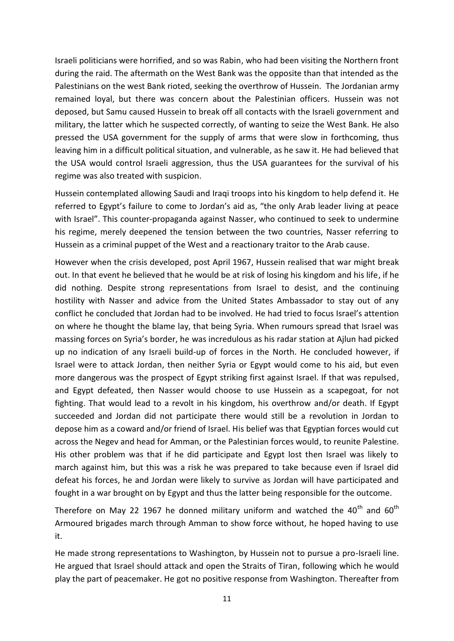Israeli politicians were horrified, and so was Rabin, who had been visiting the Northern front during the raid. The aftermath on the West Bank was the opposite than that intended as the Palestinians on the west Bank rioted, seeking the overthrow of Hussein. The Jordanian army remained loyal, but there was concern about the Palestinian officers. Hussein was not deposed, but Samu caused Hussein to break off all contacts with the Israeli government and military, the latter which he suspected correctly, of wanting to seize the West Bank. He also pressed the USA government for the supply of arms that were slow in forthcoming, thus leaving him in a difficult political situation, and vulnerable, as he saw it. He had believed that the USA would control Israeli aggression, thus the USA guarantees for the survival of his regime was also treated with suspicion.

Hussein contemplated allowing Saudi and Iraqi troops into his kingdom to help defend it. He referred to Egypt's failure to come to Jordan's aid as, "the only Arab leader living at peace with Israel". This counter-propaganda against Nasser, who continued to seek to undermine his regime, merely deepened the tension between the two countries, Nasser referring to Hussein as a criminal puppet of the West and a reactionary traitor to the Arab cause.

However when the crisis developed, post April 1967, Hussein realised that war might break out. In that event he believed that he would be at risk of losing his kingdom and his life, if he did nothing. Despite strong representations from Israel to desist, and the continuing hostility with Nasser and advice from the United States Ambassador to stay out of any conflict he concluded that Jordan had to be involved. He had tried to focus Israel's attention on where he thought the blame lay, that being Syria. When rumours spread that Israel was massing forces on Syria's border, he was incredulous as his radar station at Ajlun had picked up no indication of any Israeli build-up of forces in the North. He concluded however, if Israel were to attack Jordan, then neither Syria or Egypt would come to his aid, but even more dangerous was the prospect of Egypt striking first against Israel. If that was repulsed, and Egypt defeated, then Nasser would choose to use Hussein as a scapegoat, for not fighting. That would lead to a revolt in his kingdom, his overthrow and/or death. If Egypt succeeded and Jordan did not participate there would still be a revolution in Jordan to depose him as a coward and/or friend of Israel. His belief was that Egyptian forces would cut across the Negev and head for Amman, or the Palestinian forces would, to reunite Palestine. His other problem was that if he did participate and Egypt lost then Israel was likely to march against him, but this was a risk he was prepared to take because even if Israel did defeat his forces, he and Jordan were likely to survive as Jordan will have participated and fought in a war brought on by Egypt and thus the latter being responsible for the outcome.

Therefore on May 22 1967 he donned military uniform and watched the  $40^{th}$  and  $60^{th}$ Armoured brigades march through Amman to show force without, he hoped having to use it.

He made strong representations to Washington, by Hussein not to pursue a pro-Israeli line. He argued that Israel should attack and open the Straits of Tiran, following which he would play the part of peacemaker. He got no positive response from Washington. Thereafter from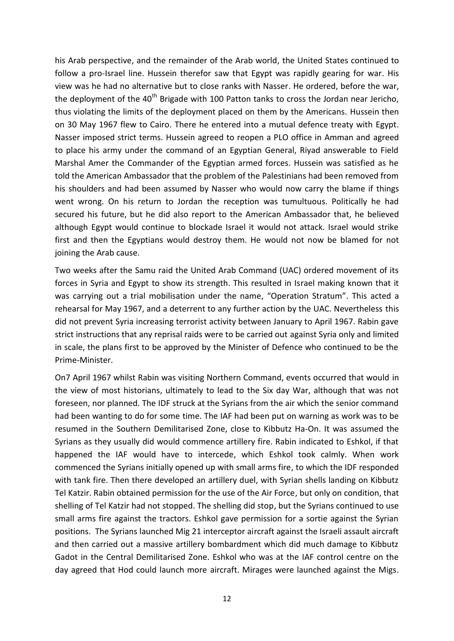his Arab perspective, and the remainder of the Arab world, the United States continued to follow a pro-Israel line. Hussein therefor saw that Egypt was rapidly gearing for war. His view was he had no alternative but to close ranks with Nasser. He ordered, before the war, the deployment of the  $40<sup>th</sup>$  Brigade with 100 Patton tanks to cross the Jordan near Jericho, thus violating the limits of the deployment placed on them by the Americans. Hussein then on 30 May 1967 flew to Cairo. There he entered into a mutual defence treaty with Egypt. Nasser imposed strict terms. Hussein agreed to reopen a PLO office in Amman and agreed to place his army under the command of an Egyptian General, Riyad answerable to Field Marshal Amer the Commander of the Egyptian armed forces. Hussein was satisfied as he told the American Ambassador that the problem of the Palestinians had been removed from his shoulders and had been assumed by Nasser who would now carry the blame if things went wrong. On his return to Jordan the reception was tumultuous. Politically he had secured his future, but he did also report to the American Ambassador that, he believed although Egypt would continue to blockade Israel it would not attack. Israel would strike first and then the Egyptians would destroy them. He would not now be blamed for not joining the Arab cause.

Two weeks after the Samu raid the United Arab Command (UAC) ordered movement of its forces in Syria and Egypt to show its strength. This resulted in Israel making known that it was carrying out a trial mobilisation under the name, "Operation Stratum". This acted a rehearsal for May 1967, and a deterrent to any further action by the UAC. Nevertheless this did not prevent Syria increasing terrorist activity between January to April 1967. Rabin gave strict instructions that any reprisal raids were to be carried out against Syria only and limited in scale, the plans first to be approved by the Minister of Defence who continued to be the Prime-Minister.

On7 April 1967 whilst Rabin was visiting Northern Command, events occurred that would in the view of most historians, ultimately to lead to the Six day War, although that was not foreseen, nor planned. The IDF struck at the Syrians from the air which the senior command had been wanting to do for some time. The IAF had been put on warning as work was to be resumed in the Southern Demilitarised Zone, close to Kibbutz Ha-On. It was assumed the Syrians as they usually did would commence artillery fire. Rabin indicated to Eshkol, if that happened the IAF would have to intercede, which Eshkol took calmly. When work commenced the Syrians initially opened up with small arms fire, to which the IDF responded with tank fire. Then there developed an artillery duel, with Syrian shells landing on Kibbutz Tel Katzir. Rabin obtained permission for the use of the Air Force, but only on condition, that shelling of Tel Katzir had not stopped. The shelling did stop, but the Syrians continued to use small arms fire against the tractors. Eshkol gave permission for a sortie against the Syrian positions. The Syrians launched Mig 21 interceptor aircraft against the Israeli assault aircraft and then carried out a massive artillery bombardment which did much damage to Kibbutz Gadot in the Central Demilitarised Zone. Eshkol who was at the IAF control centre on the day agreed that Hod could launch more aircraft. Mirages were launched against the Migs.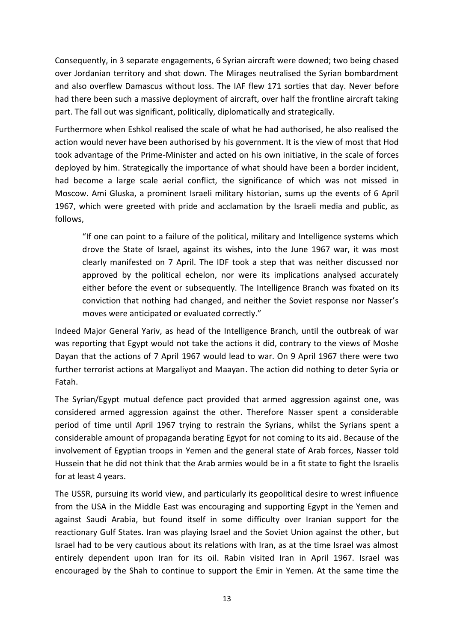Consequently, in 3 separate engagements, 6 Syrian aircraft were downed; two being chased over Jordanian territory and shot down. The Mirages neutralised the Syrian bombardment and also overflew Damascus without loss. The IAF flew 171 sorties that day. Never before had there been such a massive deployment of aircraft, over half the frontline aircraft taking part. The fall out was significant, politically, diplomatically and strategically.

Furthermore when Eshkol realised the scale of what he had authorised, he also realised the action would never have been authorised by his government. It is the view of most that Hod took advantage of the Prime-Minister and acted on his own initiative, in the scale of forces deployed by him. Strategically the importance of what should have been a border incident, had become a large scale aerial conflict, the significance of which was not missed in Moscow. Ami Gluska, a prominent Israeli military historian, sums up the events of 6 April 1967, which were greeted with pride and acclamation by the Israeli media and public, as follows,

"If one can point to a failure of the political, military and Intelligence systems which drove the State of Israel, against its wishes, into the June 1967 war, it was most clearly manifested on 7 April. The IDF took a step that was neither discussed nor approved by the political echelon, nor were its implications analysed accurately either before the event or subsequently. The Intelligence Branch was fixated on its conviction that nothing had changed, and neither the Soviet response nor Nasser's moves were anticipated or evaluated correctly."

Indeed Major General Yariv, as head of the Intelligence Branch, until the outbreak of war was reporting that Egypt would not take the actions it did, contrary to the views of Moshe Dayan that the actions of 7 April 1967 would lead to war. On 9 April 1967 there were two further terrorist actions at Margaliyot and Maayan. The action did nothing to deter Syria or Fatah.

The Syrian/Egypt mutual defence pact provided that armed aggression against one, was considered armed aggression against the other. Therefore Nasser spent a considerable period of time until April 1967 trying to restrain the Syrians, whilst the Syrians spent a considerable amount of propaganda berating Egypt for not coming to its aid. Because of the involvement of Egyptian troops in Yemen and the general state of Arab forces, Nasser told Hussein that he did not think that the Arab armies would be in a fit state to fight the Israelis for at least 4 years.

The USSR, pursuing its world view, and particularly its geopolitical desire to wrest influence from the USA in the Middle East was encouraging and supporting Egypt in the Yemen and against Saudi Arabia, but found itself in some difficulty over Iranian support for the reactionary Gulf States. Iran was playing Israel and the Soviet Union against the other, but Israel had to be very cautious about its relations with Iran, as at the time Israel was almost entirely dependent upon Iran for its oil. Rabin visited Iran in April 1967. Israel was encouraged by the Shah to continue to support the Emir in Yemen. At the same time the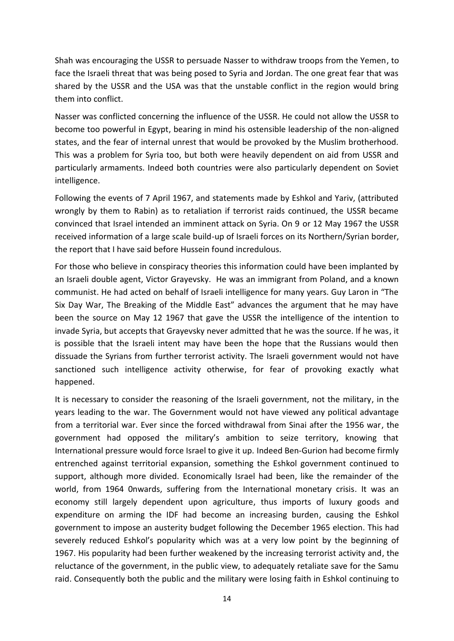Shah was encouraging the USSR to persuade Nasser to withdraw troops from the Yemen, to face the Israeli threat that was being posed to Syria and Jordan. The one great fear that was shared by the USSR and the USA was that the unstable conflict in the region would bring them into conflict.

Nasser was conflicted concerning the influence of the USSR. He could not allow the USSR to become too powerful in Egypt, bearing in mind his ostensible leadership of the non-aligned states, and the fear of internal unrest that would be provoked by the Muslim brotherhood. This was a problem for Syria too, but both were heavily dependent on aid from USSR and particularly armaments. Indeed both countries were also particularly dependent on Soviet intelligence.

Following the events of 7 April 1967, and statements made by Eshkol and Yariv, (attributed wrongly by them to Rabin) as to retaliation if terrorist raids continued, the USSR became convinced that Israel intended an imminent attack on Syria. On 9 or 12 May 1967 the USSR received information of a large scale build-up of Israeli forces on its Northern/Syrian border, the report that I have said before Hussein found incredulous.

For those who believe in conspiracy theories this information could have been implanted by an Israeli double agent, Victor Grayevsky. He was an immigrant from Poland, and a known communist. He had acted on behalf of Israeli intelligence for many years. Guy Laron in "The Six Day War, The Breaking of the Middle East" advances the argument that he may have been the source on May 12 1967 that gave the USSR the intelligence of the intention to invade Syria, but accepts that Grayevsky never admitted that he was the source. If he was, it is possible that the Israeli intent may have been the hope that the Russians would then dissuade the Syrians from further terrorist activity. The Israeli government would not have sanctioned such intelligence activity otherwise, for fear of provoking exactly what happened.

It is necessary to consider the reasoning of the Israeli government, not the military, in the years leading to the war. The Government would not have viewed any political advantage from a territorial war. Ever since the forced withdrawal from Sinai after the 1956 war, the government had opposed the military's ambition to seize territory, knowing that International pressure would force Israel to give it up. Indeed Ben-Gurion had become firmly entrenched against territorial expansion, something the Eshkol government continued to support, although more divided. Economically Israel had been, like the remainder of the world, from 1964 0nwards, suffering from the International monetary crisis. It was an economy still largely dependent upon agriculture, thus imports of luxury goods and expenditure on arming the IDF had become an increasing burden, causing the Eshkol government to impose an austerity budget following the December 1965 election. This had severely reduced Eshkol's popularity which was at a very low point by the beginning of 1967. His popularity had been further weakened by the increasing terrorist activity and, the reluctance of the government, in the public view, to adequately retaliate save for the Samu raid. Consequently both the public and the military were losing faith in Eshkol continuing to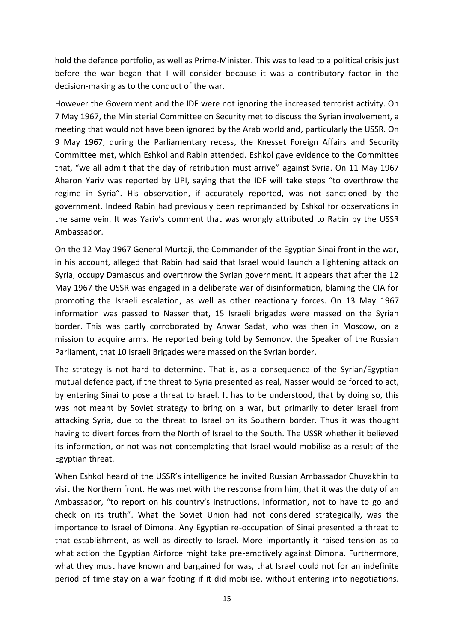hold the defence portfolio, as well as Prime-Minister. This was to lead to a political crisis just before the war began that I will consider because it was a contributory factor in the decision-making as to the conduct of the war.

However the Government and the IDF were not ignoring the increased terrorist activity. On 7 May 1967, the Ministerial Committee on Security met to discuss the Syrian involvement, a meeting that would not have been ignored by the Arab world and, particularly the USSR. On 9 May 1967, during the Parliamentary recess, the Knesset Foreign Affairs and Security Committee met, which Eshkol and Rabin attended. Eshkol gave evidence to the Committee that, "we all admit that the day of retribution must arrive" against Syria. On 11 May 1967 Aharon Yariv was reported by UPI, saying that the IDF will take steps "to overthrow the regime in Syria". His observation, if accurately reported, was not sanctioned by the government. Indeed Rabin had previously been reprimanded by Eshkol for observations in the same vein. It was Yariv's comment that was wrongly attributed to Rabin by the USSR Ambassador.

On the 12 May 1967 General Murtaji, the Commander of the Egyptian Sinai front in the war, in his account, alleged that Rabin had said that Israel would launch a lightening attack on Syria, occupy Damascus and overthrow the Syrian government. It appears that after the 12 May 1967 the USSR was engaged in a deliberate war of disinformation, blaming the CIA for promoting the Israeli escalation, as well as other reactionary forces. On 13 May 1967 information was passed to Nasser that, 15 Israeli brigades were massed on the Syrian border. This was partly corroborated by Anwar Sadat, who was then in Moscow, on a mission to acquire arms. He reported being told by Semonov, the Speaker of the Russian Parliament, that 10 Israeli Brigades were massed on the Syrian border.

The strategy is not hard to determine. That is, as a consequence of the Syrian/Egyptian mutual defence pact, if the threat to Syria presented as real, Nasser would be forced to act, by entering Sinai to pose a threat to Israel. It has to be understood, that by doing so, this was not meant by Soviet strategy to bring on a war, but primarily to deter Israel from attacking Syria, due to the threat to Israel on its Southern border. Thus it was thought having to divert forces from the North of Israel to the South. The USSR whether it believed its information, or not was not contemplating that Israel would mobilise as a result of the Egyptian threat.

When Eshkol heard of the USSR's intelligence he invited Russian Ambassador Chuvakhin to visit the Northern front. He was met with the response from him, that it was the duty of an Ambassador, "to report on his country's instructions, information, not to have to go and check on its truth". What the Soviet Union had not considered strategically, was the importance to Israel of Dimona. Any Egyptian re-occupation of Sinai presented a threat to that establishment, as well as directly to Israel. More importantly it raised tension as to what action the Egyptian Airforce might take pre-emptively against Dimona. Furthermore, what they must have known and bargained for was, that Israel could not for an indefinite period of time stay on a war footing if it did mobilise, without entering into negotiations.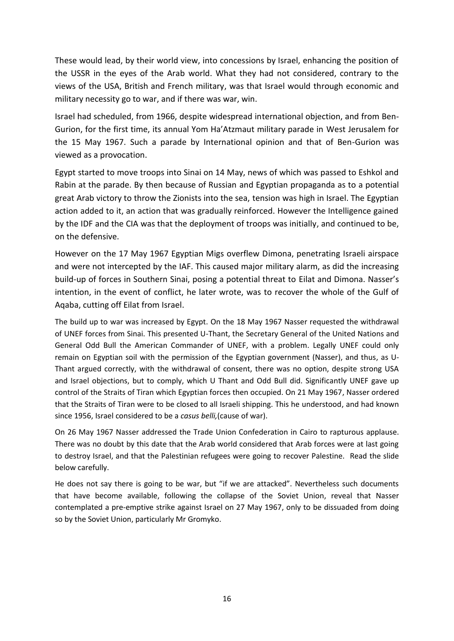These would lead, by their world view, into concessions by Israel, enhancing the position of the USSR in the eyes of the Arab world. What they had not considered, contrary to the views of the USA, British and French military, was that Israel would through economic and military necessity go to war, and if there was war, win.

Israel had scheduled, from 1966, despite widespread international objection, and from Ben- Gurion, for the first time, its annual Yom Ha'Atzmaut military parade in West Jerusalem for the 15 May 1967. Such a parade by International opinion and that of Ben-Gurion was viewed as a provocation.

Egypt started to move troops into Sinai on 14 May, news of which was passed to Eshkol and Rabin at the parade. By then because of Russian and Egyptian propaganda as to a potential great Arab victory to throw the Zionists into the sea, tension was high in Israel. The Egyptian action added to it, an action that was gradually reinforced. However the Intelligence gained by the IDF and the CIA was that the deployment of troops was initially, and continued to be, on the defensive.

However on the 17 May 1967 Egyptian Migs overflew Dimona, penetrating Israeli airspace and were not intercepted by the IAF. This caused major military alarm, as did the increasing build-up of forces in Southern Sinai, posing a potential threat to Eilat and Dimona. Nasser's intention, in the event of conflict, he later wrote, was to recover the whole of the Gulf of Aqaba, cutting off Eilat from Israel.

The build up to war was increased by Egypt. On the 18 May 1967 Nasser requested the withdrawal of UNEF forces from Sinai. This presented U-Thant, the Secretary General of the United Nations and General Odd Bull the American Commander of UNEF, with a problem. Legally UNEF could only remain on Egyptian soil with the permission of the Egyptian government (Nasser), and thus, as U- Thant argued correctly, with the withdrawal of consent, there was no option, despite strong USA and Israel objections, but to comply, which U Thant and Odd Bull did. Significantly UNEF gave up control of the Straits of Tiran which Egyptian forces then occupied. On 21 May 1967, Nasser ordered that the Straits of Tiran were to be closed to all Israeli shipping. This he understood, and had known since 1956, Israel considered to be a *casus belli,*(cause of war).

On 26 May 1967 Nasser addressed the Trade Union Confederation in Cairo to rapturous applause. There was no doubt by this date that the Arab world considered that Arab forces were at last going to destroy Israel, and that the Palestinian refugees were going to recover Palestine. Read the slide below carefully.

He does not say there is going to be war, but "if we are attacked". Nevertheless such documents that have become available, following the collapse of the Soviet Union, reveal that Nasser contemplated a pre-emptive strike against Israel on 27 May 1967, only to be dissuaded from doing so by the Soviet Union, particularly Mr Gromyko.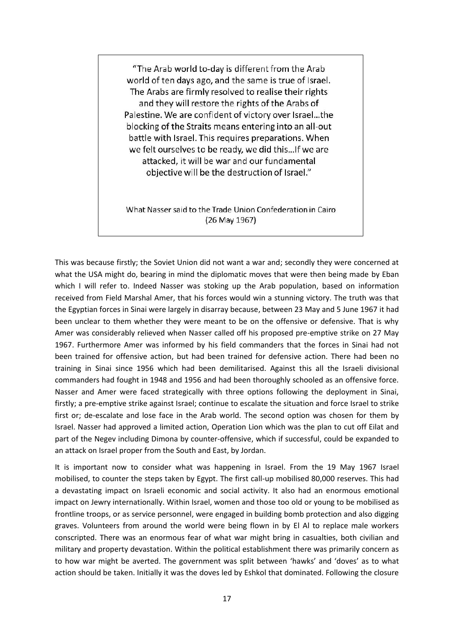"The Arab world to-day is different from the Arab world of ten days ago, and the same is true of Israel. The Arabs are firmly resolved to realise their rights and they will restore the rights of the Arabs of Palestine. We are confident of victory over Israel...the blocking of the Straits means entering into an all-out battle with Israel. This requires preparations. When we felt ourselves to be ready, we did this... If we are attacked, it will be war and our fundamental objective will be the destruction of Israel."

What Nasser said to the Trade Union Confederation in Cairo (26 May 1967)

This was because firstly; the Soviet Union did not want a war and; secondly they were concerned at what the USA might do, bearing in mind the diplomatic moves that were then being made by Eban which I will refer to. Indeed Nasser was stoking up the Arab population, based on information received from Field Marshal Amer, that his forces would win a stunning victory. The truth was that the Egyptian forces in Sinai were largely in disarray because, between 23 May and 5 June 1967 it had been unclear to them whether they were meant to be on the offensive or defensive. That is why Amer was considerably relieved when Nasser called off his proposed pre-emptive strike on 27 May 1967. Furthermore Amer was informed by his field commanders that the forces in Sinai had not been trained for offensive action, but had been trained for defensive action. There had been no training in Sinai since 1956 which had been demilitarised. Against this all the Israeli divisional commanders had fought in 1948 and 1956 and had been thoroughly schooled as an offensive force. Nasser and Amer were faced strategically with three options following the deployment in Sinai, firstly; a pre-emptive strike against Israel; continue to escalate the situation and force Israel to strike first or; de-escalate and lose face in the Arab world. The second option was chosen for them by Israel. Nasser had approved a limited action, Operation Lion which was the plan to cut off Eilat and part of the Negev including Dimona by counter-offensive, which if successful, could be expanded to an attack on Israel proper from the South and East, by Jordan.

It is important now to consider what was happening in Israel. From the 19 May 1967 Israel mobilised, to counter the steps taken by Egypt. The first call-up mobilised 80,000 reserves. This had a devastating impact on Israeli economic and social activity. It also had an enormous emotional impact on Jewry internationally. Within Israel, women and those too old or young to be mobilised as frontline troops, or as service personnel, were engaged in building bomb protection and also digging graves. Volunteers from around the world were being flown in by El Al to replace male workers conscripted. There was an enormous fear of what war might bring in casualties, both civilian and military and property devastation. Within the political establishment there was primarily concern as to how war might be averted. The government was split between 'hawks' and 'doves' as to what action should be taken. Initially it was the doves led by Eshkol that dominated. Following the closure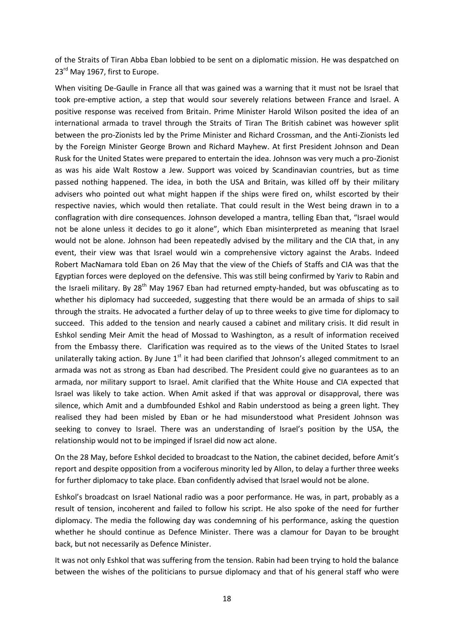of the Straits of Tiran Abba Eban lobbied to be sent on a diplomatic mission. He was despatched on 23<sup>rd</sup> May 1967, first to Europe.

When visiting De-Gaulle in France all that was gained was a warning that it must not be Israel that took pre-emptive action, a step that would sour severely relations between France and Israel. A positive response was received from Britain. Prime Minister Harold Wilson posited the idea of an international armada to travel through the Straits of Tiran The British cabinet was however split between the pro-Zionists led by the Prime Minister and Richard Crossman, and the Anti-Zionists led by the Foreign Minister George Brown and Richard Mayhew. At first President Johnson and Dean Rusk for the United States were prepared to entertain the idea. Johnson was very much a pro-Zionist as was his aide Walt Rostow a Jew. Support was voiced by Scandinavian countries, but as time passed nothing happened. The idea, in both the USA and Britain, was killed off by their military advisers who pointed out what might happen if the ships were fired on, whilst escorted by their respective navies, which would then retaliate. That could result in the West being drawn in to a conflagration with dire consequences. Johnson developed a mantra, telling Eban that, "Israel would not be alone unless it decides to go it alone", which Eban misinterpreted as meaning that Israel would not be alone. Johnson had been repeatedly advised by the military and the CIA that, in any event, their view was that Israel would win a comprehensive victory against the Arabs. Indeed Robert MacNamara told Eban on 26 May that the view of the Chiefs of Staffs and CIA was that the Egyptian forces were deployed on the defensive. This was still being confirmed by Yariv to Rabin and the Israeli military. By 28<sup>th</sup> May 1967 Eban had returned empty-handed, but was obfuscating as to whether his diplomacy had succeeded, suggesting that there would be an armada of ships to sail through the straits. He advocated a further delay of up to three weeks to give time for diplomacy to succeed. This added to the tension and nearly caused a cabinet and military crisis. It did result in Eshkol sending Meir Amit the head of Mossad to Washington, as a result of information received from the Embassy there. Clarification was required as to the views of the United States to Israel unilaterally taking action. By June  $1<sup>st</sup>$  it had been clarified that Johnson's alleged commitment to an armada was not as strong as Eban had described. The President could give no guarantees as to an armada, nor military support to Israel. Amit clarified that the White House and CIA expected that Israel was likely to take action. When Amit asked if that was approval or disapproval, there was silence, which Amit and a dumbfounded Eshkol and Rabin understood as being a green light. They realised they had been misled by Eban or he had misunderstood what President Johnson was seeking to convey to Israel. There was an understanding of Israel's position by the USA, the relationship would not to be impinged if Israel did now act alone.

On the 28 May, before Eshkol decided to broadcast to the Nation, the cabinet decided, before Amit's report and despite opposition from a vociferous minority led by Allon, to delay a further three weeks for further diplomacy to take place. Eban confidently advised that Israel would not be alone.

Eshkol's broadcast on Israel National radio was a poor performance. He was, in part, probably as a result of tension, incoherent and failed to follow his script. He also spoke of the need for further diplomacy. The media the following day was condemning of his performance, asking the question whether he should continue as Defence Minister. There was a clamour for Dayan to be brought back, but not necessarily as Defence Minister.

It was not only Eshkol that was suffering from the tension. Rabin had been trying to hold the balance between the wishes of the politicians to pursue diplomacy and that of his general staff who were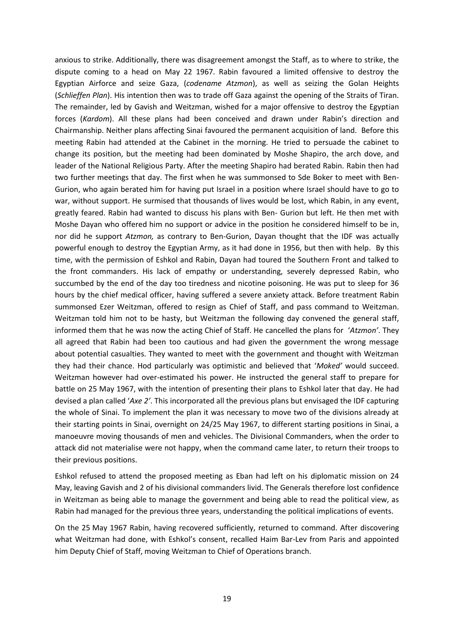anxious to strike. Additionally, there was disagreement amongst the Staff, as to where to strike, the dispute coming to a head on May 22 1967. Rabin favoured a limited offensive to destroy the Egyptian Airforce and seize Gaza, (*codename Atzmon*), as well as seizing the Golan Heights (*Schlieffen Plan*). His intention then was to trade off Gaza against the opening of the Straits of Tiran. The remainder, led by Gavish and Weitzman, wished for a major offensive to destroy the Egyptian forces (*Kardom*). All these plans had been conceived and drawn under Rabin's direction and Chairmanship. Neither plans affecting Sinai favoured the permanent acquisition of land. Before this meeting Rabin had attended at the Cabinet in the morning. He tried to persuade the cabinet to change its position, but the meeting had been dominated by Moshe Shapiro, the arch dove, and leader of the National Religious Party. After the meeting Shapiro had berated Rabin. Rabin then had two further meetings that day. The first when he was summonsed to Sde Boker to meet with Ben- Gurion, who again berated him for having put Israel in a position where Israel should have to go to war, without support. He surmised that thousands of lives would be lost, which Rabin, in any event, greatly feared. Rabin had wanted to discuss his plans with Ben- Gurion but left. He then met with Moshe Dayan who offered him no support or advice in the position he considered himself to be in, nor did he support *Atzmon,* as contrary to Ben-Gurion, Dayan thought that the IDF was actually powerful enough to destroy the Egyptian Army, as it had done in 1956, but then with help. By this time, with the permission of Eshkol and Rabin, Dayan had toured the Southern Front and talked to the front commanders. His lack of empathy or understanding, severely depressed Rabin, who succumbed by the end of the day too tiredness and nicotine poisoning. He was put to sleep for 36 hours by the chief medical officer, having suffered a severe anxiety attack. Before treatment Rabin summonsed Ezer Weitzman, offered to resign as Chief of Staff, and pass command to Weitzman. Weitzman told him not to be hasty, but Weitzman the following day convened the general staff, informed them that he was now the acting Chief of Staff. He cancelled the plans for '*Atzmon'*. They all agreed that Rabin had been too cautious and had given the government the wrong message about potential casualties. They wanted to meet with the government and thought with Weitzman they had their chance. Hod particularly was optimistic and believed that '*Moked'* would succeed. Weitzman however had over-estimated his power. He instructed the general staff to prepare for battle on 25 May 1967, with the intention of presenting their plans to Eshkol later that day. He had devised a plan called '*Axe 2'*. This incorporated all the previous plans but envisaged the IDF capturing the whole of Sinai. To implement the plan it was necessary to move two of the divisions already at their starting points in Sinai, overnight on 24/25 May 1967, to different starting positions in Sinai, a manoeuvre moving thousands of men and vehicles. The Divisional Commanders, when the order to attack did not materialise were not happy, when the command came later, to return their troops to their previous positions.

Eshkol refused to attend the proposed meeting as Eban had left on his diplomatic mission on 24 May, leaving Gavish and 2 of his divisional commanders livid. The Generals therefore lost confidence in Weitzman as being able to manage the government and being able to read the political view, as Rabin had managed for the previous three years, understanding the political implications of events.

On the 25 May 1967 Rabin, having recovered sufficiently, returned to command. After discovering what Weitzman had done, with Eshkol's consent, recalled Haim Bar-Lev from Paris and appointed him Deputy Chief of Staff, moving Weitzman to Chief of Operations branch.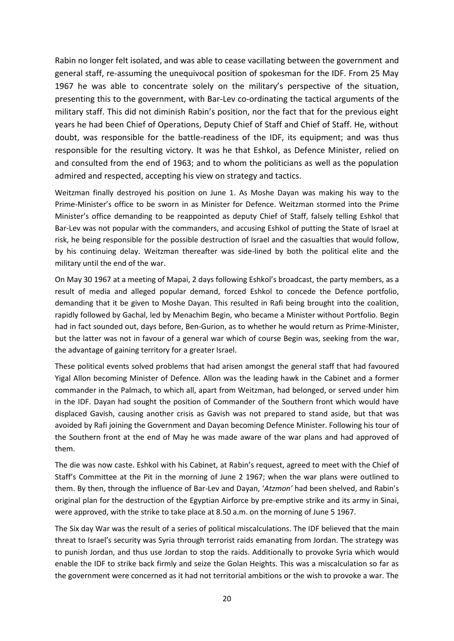Rabin no longer felt isolated, and was able to cease vacillating between the government and general staff, re-assuming the unequivocal position of spokesman for the IDF. From 25 May 1967 he was able to concentrate solely on the military's perspective of the situation, presenting this to the government, with Bar-Lev co-ordinating the tactical arguments of the military staff. This did not diminish Rabin's position, nor the fact that for the previous eight years he had been Chief of Operations, Deputy Chief of Staff and Chief of Staff. He, without doubt, was responsible for the battle-readiness of the IDF, its equipment; and was thus responsible for the resulting victory. It was he that Eshkol, as Defence Minister, relied on and consulted from the end of 1963; and to whom the politicians as well as the population admired and respected, accepting his view on strategy and tactics.

Weitzman finally destroyed his position on June 1. As Moshe Dayan was making his way to the Prime-Minister's office to be sworn in as Minister for Defence. Weitzman stormed into the Prime Minister's office demanding to be reappointed as deputy Chief of Staff, falsely telling Eshkol that Bar-Lev was not popular with the commanders, and accusing Eshkol of putting the State of Israel at risk, he being responsible for the possible destruction of Israel and the casualties that would follow, by his continuing delay. Weitzman thereafter was side-lined by both the political elite and the military until the end of the war.

On May 30 1967 at a meeting of Mapai, 2 days following Eshkol's broadcast, the party members, as a result of media and alleged popular demand, forced Eshkol to concede the Defence portfolio, demanding that it be given to Moshe Dayan. This resulted in Rafi being brought into the coalition, rapidly followed by Gachal, led by Menachim Begin, who became a Minister without Portfolio. Begin had in fact sounded out, days before, Ben-Gurion, as to whether he would return as Prime-Minister, but the latter was not in favour of a general war which of course Begin was, seeking from the war, the advantage of gaining territory for a greater Israel.

These political events solved problems that had arisen amongst the general staff that had favoured Yigal Allon becoming Minister of Defence. Allon was the leading hawk in the Cabinet and a former commander in the Palmach, to which all, apart from Weitzman, had belonged, or served under him in the IDF. Dayan had sought the position of Commander of the Southern front which would have displaced Gavish, causing another crisis as Gavish was not prepared to stand aside, but that was avoided by Rafi joining the Government and Dayan becoming Defence Minister. Following his tour of the Southern front at the end of May he was made aware of the war plans and had approved of them.

The die was now caste. Eshkol with his Cabinet, at Rabin's request, agreed to meet with the Chief of Staff's Committee at the Pit in the morning of June 2 1967; when the war plans were outlined to them. By then, through the influence of Bar-Lev and Dayan, '*Atzmon'* had been shelved, and Rabin's original plan for the destruction of the Egyptian Airforce by pre-emptive strike and its army in Sinai, were approved, with the strike to take place at 8.50 a.m. on the morning of June 5 1967.

The Six day War was the result of a series of political miscalculations. The IDF believed that the main threat to Israel's security was Syria through terrorist raids emanating from Jordan. The strategy was to punish Jordan, and thus use Jordan to stop the raids. Additionally to provoke Syria which would enable the IDF to strike back firmly and seize the Golan Heights. This was a miscalculation so far as the government were concerned as it had not territorial ambitions or the wish to provoke a war. The